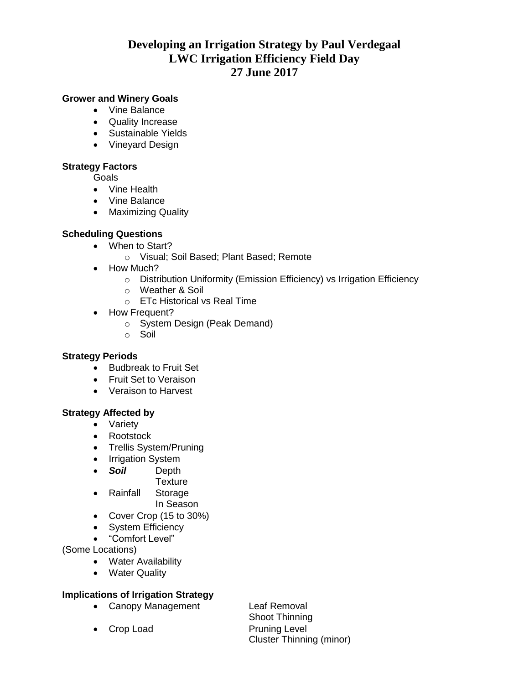# **Developing an Irrigation Strategy by Paul Verdegaal LWC Irrigation Efficiency Field Day 27 June 2017**

# **Grower and Winery Goals**

- Vine Balance
- Quality Increase
- Sustainable Yields
- Vineyard Design

# **Strategy Factors**

Goals

- Vine Health
- Vine Balance
- Maximizing Quality

# **Scheduling Questions**

- When to Start?
	- o Visual; Soil Based; Plant Based; Remote
- How Much?
	- o Distribution Uniformity (Emission Efficiency) vs Irrigation Efficiency
	- o Weather & Soil
	- o ETc Historical vs Real Time
- How Frequent?
	- o System Design (Peak Demand)
	- o Soil

## **Strategy Periods**

- Budbreak to Fruit Set
- Fruit Set to Veraison
- Veraison to Harvest

## **Strategy Affected by**

- Variety
- Rootstock
- Trellis System/Pruning
- Irrigation System
- *Soil* Depth
	- **Texture**
- Rainfall Storage In Season
- Cover Crop (15 to 30%)
- System Efficiency
- "Comfort Level"

(Some Locations)

- Water Availability
- Water Quality

# **Implications of Irrigation Strategy**

• Canopy Management Leaf Removal

• Crop Load Pruning Level

Shoot Thinning Cluster Thinning (minor)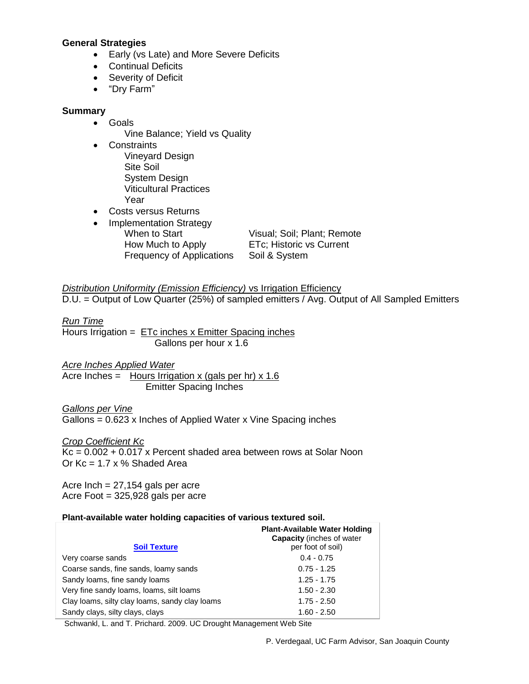#### **General Strategies**

- Early (vs Late) and More Severe Deficits
- Continual Deficits
- Severity of Deficit
- "Dry Farm"

### **Summary**

- Goals
	- Vine Balance; Yield vs Quality
- Constraints Vineyard Design Site Soil System Design Viticultural Practices Year
- Costs versus Returns
- Implementation Strategy When to Start Visual: Soil: Plant: Remote How Much to Apply **ETC**; Historic vs Current Frequency of Applications Soil & System

*Distribution Uniformity (Emission Efficiency)* **vs Irrigation Efficiency** D.U. = Output of Low Quarter (25%) of sampled emitters / Avg. Output of All Sampled Emitters

*Run Time*

Hours Irrigation  $=$   $ETe$  inches x Emitter Spacing inches Gallons per hour x 1.6

*Acre Inches Applied Water*

Acre Inches = Hours Irrigation x (gals per hr)  $x$  1.6 Emitter Spacing Inches

*Gallons per Vine* Gallons = 0.623 x Inches of Applied Water x Vine Spacing inches

*Crop Coefficient Kc*

 $Kc = 0.002 + 0.017$  x Percent shaded area between rows at Solar Noon Or  $Kc = 1.7 \times \%$  Shaded Area

Acre Inch  $= 27,154$  gals per acre Acre Foot = 325,928 gals per acre

#### **Plant-available water holding capacities of various textured soil.**

|                                                | <b>Plant-Available Water Holding</b><br><b>Capacity</b> (inches of water |
|------------------------------------------------|--------------------------------------------------------------------------|
| <b>Soil Texture</b>                            | per foot of soil)                                                        |
| Very coarse sands                              | $0.4 - 0.75$                                                             |
| Coarse sands, fine sands, loamy sands          | $0.75 - 1.25$                                                            |
| Sandy Ioams, fine sandy Ioams                  | $1.25 - 1.75$                                                            |
| Very fine sandy loams, loams, silt loams       | $1.50 - 2.30$                                                            |
| Clay loams, silty clay loams, sandy clay loams | $1.75 - 2.50$                                                            |
| Sandy clays, silty clays, clays                | $1.60 - 2.50$                                                            |

Schwankl, L. and T. Prichard. 2009. UC Drought Management Web Site